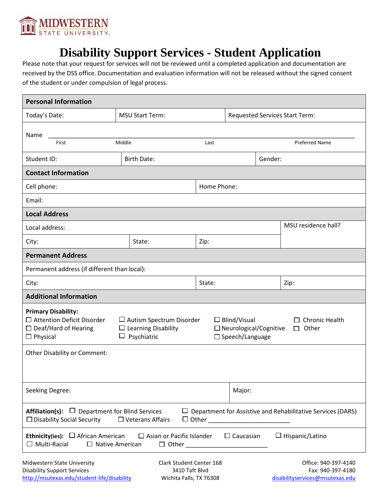

## **Disability Support Services - Student Application**

Please note that your request for services will not be reviewed until a completed application and documentation are received by the DSS office. Documentation and evaluation information will not be released without the signed consent of the student or under compulsion of legal process.

| <b>Personal Information</b>                                                                                                                                                                         |                                  |                     |                                                                                                                  |                                                                              |                                                                    |  |
|-----------------------------------------------------------------------------------------------------------------------------------------------------------------------------------------------------|----------------------------------|---------------------|------------------------------------------------------------------------------------------------------------------|------------------------------------------------------------------------------|--------------------------------------------------------------------|--|
| Today's Date:                                                                                                                                                                                       | <b>MSU Start Term:</b>           |                     | <b>Requested Services Start Term:</b>                                                                            |                                                                              |                                                                    |  |
| Name                                                                                                                                                                                                |                                  |                     |                                                                                                                  |                                                                              |                                                                    |  |
| Middle<br>First                                                                                                                                                                                     |                                  | Last                |                                                                                                                  |                                                                              | <b>Preferred Name</b>                                              |  |
| Student ID:                                                                                                                                                                                         | <b>Birth Date:</b>               |                     | Gender:                                                                                                          |                                                                              |                                                                    |  |
| <b>Contact Information</b>                                                                                                                                                                          |                                  |                     |                                                                                                                  |                                                                              |                                                                    |  |
| Cell phone:                                                                                                                                                                                         |                                  |                     | Home Phone:                                                                                                      |                                                                              |                                                                    |  |
| Email:                                                                                                                                                                                              |                                  |                     |                                                                                                                  |                                                                              |                                                                    |  |
| <b>Local Address</b>                                                                                                                                                                                |                                  |                     |                                                                                                                  |                                                                              |                                                                    |  |
| Local address:                                                                                                                                                                                      |                                  |                     |                                                                                                                  |                                                                              | MSU residence hall?                                                |  |
| City:                                                                                                                                                                                               | State:                           | Zip:                |                                                                                                                  |                                                                              |                                                                    |  |
| <b>Permanent Address</b>                                                                                                                                                                            |                                  |                     |                                                                                                                  |                                                                              |                                                                    |  |
| Permanent address (if different than local):                                                                                                                                                        |                                  |                     |                                                                                                                  |                                                                              |                                                                    |  |
| City:                                                                                                                                                                                               |                                  | State:              |                                                                                                                  |                                                                              | Zip:                                                               |  |
| <b>Additional Information</b>                                                                                                                                                                       |                                  |                     |                                                                                                                  |                                                                              |                                                                    |  |
| <b>Primary Disability:</b><br>□ Attention Deficit Disorder<br>$\Box$ Autism Spectrum Disorder<br>$\Box$ Deaf/Hard of Hearing<br>$\Box$ Learning Disability<br>$\Box$ Psychiatric<br>$\Box$ Physical |                                  |                     | $\Box$ Blind/Visual<br>Chronic Health<br>$\Box$ Neurological/Cognitive<br>$\Box$ Other<br>$\Box$ Speech/Language |                                                                              |                                                                    |  |
| Other Disability or Comment:                                                                                                                                                                        |                                  |                     |                                                                                                                  |                                                                              |                                                                    |  |
| Seeking Degree:<br>Major:                                                                                                                                                                           |                                  |                     |                                                                                                                  |                                                                              |                                                                    |  |
| <b>Affiliation(s):</b> $\Box$ Department for Blind Services<br>$\Box$ Disability Social Security                                                                                                    | $\Box$ Veterans Affairs          | $\Box$ Other $\Box$ |                                                                                                                  |                                                                              | $\Box$ Department for Assistive and Rehabilitative Services (DARS) |  |
| <b>Ethnicity(ies):</b> $\Box$ African American<br>$\Box$ Multi-Racial<br>$\Box$ Native American                                                                                                     | $\Box$ Asian or Pacific Islander |                     | $\Box$ Caucasian                                                                                                 |                                                                              | $\Box$ Hispanic/Latino                                             |  |
| Clark Student Center 168<br>Midwestern State University<br>3410 Taft Blvd<br><b>Disability Support Services</b><br>http://msutexas.edu/student-life/disability<br>Wichita Falls, TX 76308           |                                  |                     |                                                                                                                  | Office: 940-397-4140<br>Fax: 940-397-4180<br>disabilityservices@msutexas.edu |                                                                    |  |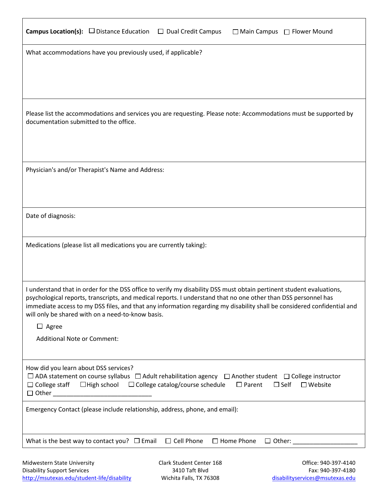| <b>Campus Location(s):</b> $\Box$ Distance Education          | $\Box$ Dual Credit Campus<br>□ Main Campus □ Flower Mound                                                                                                                                                                                                                                                                                                                                                              |
|---------------------------------------------------------------|------------------------------------------------------------------------------------------------------------------------------------------------------------------------------------------------------------------------------------------------------------------------------------------------------------------------------------------------------------------------------------------------------------------------|
|                                                               | What accommodations have you previously used, if applicable?                                                                                                                                                                                                                                                                                                                                                           |
| documentation submitted to the office.                        | Please list the accommodations and services you are requesting. Please note: Accommodations must be supported by                                                                                                                                                                                                                                                                                                       |
|                                                               | Physician's and/or Therapist's Name and Address:                                                                                                                                                                                                                                                                                                                                                                       |
| Date of diagnosis:                                            |                                                                                                                                                                                                                                                                                                                                                                                                                        |
|                                                               | Medications (please list all medications you are currently taking):                                                                                                                                                                                                                                                                                                                                                    |
|                                                               | I understand that in order for the DSS office to verify my disability DSS must obtain pertinent student evaluations,<br>psychological reports, transcripts, and medical reports. I understand that no one other than DSS personnel has<br>immediate access to my DSS files, and that any information regarding my disability shall be considered confidential and<br>will only be shared with on a need-to-know basis. |
| $\Box$ Agree<br><b>Additional Note or Comment:</b>            |                                                                                                                                                                                                                                                                                                                                                                                                                        |
| How did you learn about DSS services?<br>$\Box$ College staff | $\Box$ ADA statement on course syllabus $\Box$ Adult rehabilitation agency $\Box$ Another student $\Box$ College instructor<br>$\Box$ High school<br>$\Box$ College catalog/course schedule<br>$\Box$ Parent<br>$\Box$ Self<br>$\square$ Website                                                                                                                                                                       |
|                                                               | Emergency Contact (please include relationship, address, phone, and email):                                                                                                                                                                                                                                                                                                                                            |
| What is the best way to contact you? $\Box$ Email             | $\Box$ Cell Phone<br>$\Box$ Home Phone<br>$\Box$ Other:                                                                                                                                                                                                                                                                                                                                                                |